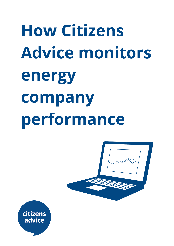# **How Citizens Advice monitors energy company performance**



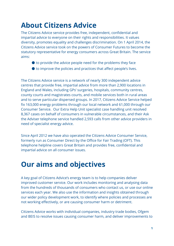# **About Citizens Advice**

The Citizens Advice service provides free, independent, confidential and impartial advice to everyone on their rights and responsibilities. It values diversity, promotes equality and challenges discrimination. On 1 April 2014, the Citizens Advice service took on the powers of Consumer Futures to become the statutory representative for energy consumers across Great Britain. The service aims:

- $\bullet$  to provide the advice people need for the problems they face
- to improve the policies and practices that affect people's lives.

The Citizens Advice service is a network of nearly 300 independent advice centres that provide free, impartial advice from more than 2,900 locations in England and Wales, including GPs' surgeries, hospitals, community centres, county courts and magistrates courts, and mobile services both in rural areas and to serve particular dispersed groups. In 2017, Citizens Advice Service helped fix 163,000 energy problems through our local network and 61,000 through our Consumer Service. Our Extra Help Unit specialist case handling unit resolved 8,367 cases on behalf of consumers in vulnerable circumstances, and their Ask the Adviser telephone service handled 2,593 calls from other advice providers in need of specialist energy advice.

Since April 2012 we have also operated the Citizens Advice Consumer Service, formerly run as Consumer Direct by the Office for Fair Trading (OFT). This telephone helpline covers Great Britain and provides free, confidential and impartial advice on all consumer issues.

## **Our aims and objectives**

A key goal of Citizens Advice's energy team is to help companies deliver improved customer service. Our work includes monitoring and analysing data from the hundreds of thousands of consumers who contact us, or use our online services each year. We also use the information and insights obtained through our wider policy development work, to identify where policies and processes are not working effectively, or are causing consumer harm or detriment.

Citizens Advice works with individual companies, industry trade bodies, Ofgem and BEIS to resolve issues causing consumer harm, and deliver improvements to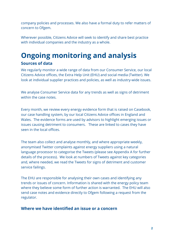company policies and processes. We also have a formal duty to refer matters of concern to Ofgem.

Wherever possible, Citizens Advice will seek to identify and share best practice with individual companies and the industry as a whole.

## **Ongoing monitoring and analysis Sources of data**

We regularly monitor a wide range of data from our Consumer Service, our local Citizens Advice offices, the Extra Help Unit (EHU) and social media (Twitter). We look at individual supplier practices and policies, as well as industry-wide issues.

We analyse Consumer Service data for any trends as well as signs of detriment within the case notes.

Every month, we review every energy evidence form that is raised on Casebook, our case handling system, by our local Citizens Advice offices in England and Wales. The evidence forms are used by advisors to highlight emerging issues or issues causing detriment to consumers. These are linked to cases they have seen in the local offices.

The team also collect and analyse monthly, and where appropriate weekly, anonymised Twitter complaints against energy suppliers using a natural language processor to categorise the Tweets (please see Appendix A for further details of the process). We look at numbers of Tweets against key categories and, where needed, we read the Tweets for signs of detriment and customer service failings.

The EHU are responsible for analysing their own cases and identifying any trends or issues of concern. Information is shared with the energy policy team where they believe some form of further action is warranted. The EHU will also send case notes and evidence directly to Ofgem following a request from the regulator.

#### **Where we have identified an issue or a concern**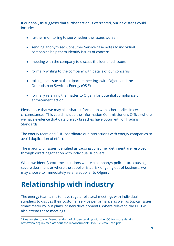If our analysis suggests that further action is warranted, our next steps could include:

- further monitoring to see whether the issues worsen
- sending anonymised Consumer Service case notes to individual companies help them identify issues of concern
- meeting with the company to discuss the identified issues
- formally writing to the company with details of our concerns
- raising the issue at the tripartite meetings with Ofgem and the Ombudsman Services: Energy (OS:E)
- formally referring the matter to Ofgem for potential compliance or enforcement action

Please note that we may also share information with other bodies in certain circumstances. This could include the Information Commissioner's Office (where we have evidence that data privacy breaches have occurred<sup>1</sup>) or Trading Standards.

The energy team and EHU coordinate our interactions with energy companies to avoid duplication of effort.

The majority of issues identified as causing consumer detriment are resolved through direct negotiation with individual suppliers.

When we identify extreme situations where a company's policies are causing severe detriment or where the supplier is at risk of going out of business, we may choose to immediately refer a supplier to Ofgem.

# **Relationship with industry**

The energy team aims to have regular bilateral meetings with individual suppliers to discuss their customer service performance as well as topical issues, smart meter rollout plans, or new developments. Where relevant, the EHU will also attend these meetings.

<sup>&</sup>lt;sup>1</sup> Please refer to our Memorandum of Understanding with the ICO for more details https://ico.org.uk/media/about-the-ico/documents/1560120/mou-cab.pdf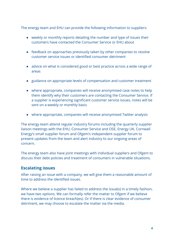The energy team and EHU can provide the following information to suppliers:

- weekly or monthly reports detailing the number and type of issues their customers have contacted the Consumer Service or EHU about
- feedback on approaches previously taken by other companies to resolve customer service issues or identified consumer detriment
- advice on what is considered good or best practice across a wide range of areas
- guidance on appropriate levels of compensation and customer treatment
- where appropriate, companies will receive anonymised case notes to help them identify why their customers are contacting the Consumer Service. If a supplier is experiencing significant customer service issues, notes will be sent on a weekly or monthly basis
- where appropriate, companies will receive anonymised Twitter analysis

The energy team attend regular industry forums including the quarterly supplier liaison meetings with the EHU, Consumer Service and OSE, Energy UK, Cornwall Energy's small supplier forum and Ofgem's independent supplier forum to present updates from the team and alert industry to our ongoing areas of concern.

The energy team also have joint meetings with individual suppliers and Ofgem to discuss their debt policies and treatment of consumers in vulnerable situations.

#### **Escalating issues**

After raising an issue with a company, we will give them a reasonable amount of time to address the identified issues.

Where we believe a supplier has failed to address the issue(s) in a timely fashion, we have two options. We can formally refer the matter to Ofgem if we believe there is evidence of licence breach(es). Or if there is clear evidence of consumer detriment, we may choose to escalate the matter via the media.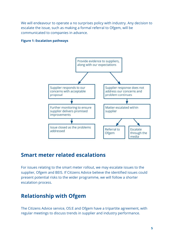We will endeavour to operate a no surprises policy with industry. Any decision to escalate the issue, such as making a formal referral to Ofgem, will be communicated to companies in advance.

#### **Figure 1: Escalation pathways**



## **Smart meter related escalations**

For issues relating to the smart meter rollout, we may escalate issues to the supplier, Ofgem and BEIS. If Citizens Advice believe the identified issues could present potential risks to the wider programme, we will follow a shorter escalation process.

## **Relationship with Ofgem**

The Citizens Advice service, OS:E and Ofgem have a tripartite agreement, with regular meetings to discuss trends in supplier and industry performance.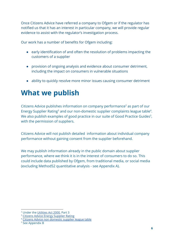Once Citizens Advice have referred a company to Ofgem or if the regulator has notified us that it has an interest in particular company, we will provide regular evidence to assist with the regulator's investigation process.

Our work has a number of benefits for Ofgem including:

- early identification of and often the resolution of problems impacting the customers of a supplier
- provision of ongoing analysis and evidence about consumer detriment, including the impact on consumers in vulnerable situations
- ability to quickly resolve more minor issues causing consumer detriment

# **What we publish**

Citizens Advice publishes information on company performance<sup>2</sup> as part of our Energy Supplier Rating<sup>3</sup> and our non-domestic supplier complaints league table<sup>4</sup>. We also publish examples of good practice in our suite of Good Practice Guides<sup>5</sup>, with the permission of suppliers.

Citizens Advice will not publish detailed information about individual company performance without gaining consent from the supplier beforehand.

We may publish information already in the public domain about supplier performance, where we think it is in the interest of consumers to do so. This could include data published by Ofgem, from traditional media, or social media (excluding Method52 quantitative analysis - see Appendix A).

<sup>2</sup> Under the [Utilities](https://www.legislation.gov.uk/ukpga/2000/27/part/III/enacted) Act 2000, Part 3

<sup>&</sup>lt;sup>3</sup> Citizens Advice Energy [Supplier](https://www.citizensadvice.org.uk/about-us/how-citizens-advice-works/citizens-advice-consumer-work/supplier-performance/energy-supplier-performance/compare-domestic-energy-suppliers-customer-service/) Rating

<sup>4</sup> Citizens Advice non [domestic](https://www.citizensadvice.org.uk/about-us/how-citizens-advice-works/citizens-advice-consumer-work/supplier-performance/energy-supplier-performance/how-does-your-business-energy-provider-stack-up/) supplier league table

<sup>5</sup> See Appendix B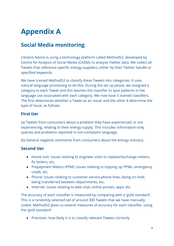# **Appendix A**

## **Social Media monitoring**

Citizens Advice is using a technology platform called Method52, developed by Centre for Analysis of Social Media (CASM), to analyse Twitter data. We collect all Tweets that reference specific energy suppliers, either by their Twitter handle or specified keywords.

We have trained Method52 to classify these Tweets into categories. It uses natural language processing to do this. During the set up phase, we assigned a category to each Tweet and this teaches the classifier to spot patterns in the language use associated with each category. We now have 5 trained classifiers. The first determines whether a Tweet as an 'issue' and the other 4 determine the type of issue, as follows:

#### **First tier**

(a) Tweets from consumers about a problem they have experienced, or are experiencing, relating to their energy supply. This includes information-only queries and problems reported in non-complaint language.

(b) General negative comments from consumers about the energy industry.

### **Second tier**

- Home visit: issues relating to engineer visits to replace/exchange meters, fix boilers, etc.
- Prepayment Meters (PPM): issues relating to topping up PPMs, emergency credit, etc.
- Phone: issues relating to customer service phone lines, being on hold, being transferred between departments, etc.
- Internet: issues relating to web chat, online portals, apps, etc.

The accuracy of each classifier is measured by comparing with a 'gold standard'. This is a randomly selected set of around 300 Tweets that we have manually coded. Method52 gives us several measures of accuracy for each classifier, using the 'gold standard':

● Precision: how likely it is to classify relevant Tweets correctly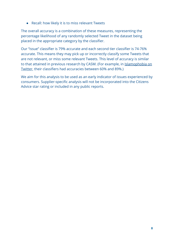● Recall: how likely it is to miss relevant Tweets

The overall accuracy is a combination of these measures, representing the percentage likelihood of any randomly selected Tweet in the dataset being placed in the appropriate category by the classifier.

Our "issue" classifier is 79% accurate and each second tier classifier is 74-76% accurate. This means they may pick up or incorrectly classify some Tweets that are not relevant, or miss some relevant Tweets. This level of accuracy is similar to that attained in previous research by CASM. (For example, in [Islamophobia on](https://www.demos.co.uk/wp-content/uploads/2016/08/Islamophobia-on-Twitter_-March-to-July-2016-.pdf) [Twitter](https://www.demos.co.uk/wp-content/uploads/2016/08/Islamophobia-on-Twitter_-March-to-July-2016-.pdf), their classifiers had accuracies between 60% and 89%.)

We aim for this analysis to be used as an early indicator of issues experienced by consumers. Supplier-specific analysis will not be incorporated into the Citizens Advice star rating or included in any public reports.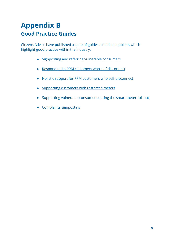## **Appendix B Good Practice Guides**

Citizens Advice have published a suite of guides aimed at suppliers which highlight good practice within the industry:

- [Signposting and referring vulnerable consumers](https://www.citizensadvice.org.uk/about-us/policy/policy-research-topics/energy-policy-research-and-consultation-responses/energy-policy-research/good-practice-guide/)
- [Responding to PPM customers who self-disconnect](https://www.citizensadvice.org.uk/Global/CitizensAdvice/Energy/Self-disconnection%20good%20practice%20guide_updated%20October%202017.pdf)
- [Holistic support for PPM customers who self-disconnect](https://www.citizensadvice.org.uk/about-us/policy/policy-research-topics/energy-policy-research-and-consultation-responses/energy-policy-research/good-practice-guide1/)
- [Supporting customers with restricted meters](https://www.citizensadvice.org.uk/about-us/policy/policy-research-topics/energy-policy-research-and-consultation-responses/energy-policy-research/good-practice-guide-supporting-customers-with-restricted-meters/)
- [Supporting vulnerable consumers during the smart meter roll out](https://www.citizensadvice.org.uk/about-us/policy/policy-research-topics/energy-policy-research-and-consultation-responses/energy-policy-research/smart-support-a-good-practice-guide/)
- [Complaints signposting](https://www.citizensadvice.org.uk/about-us/policy/policy-research-topics/energy-policy-research-and-consultation-responses/energy-policy-research/domestic-complaints-signposting-guide/)